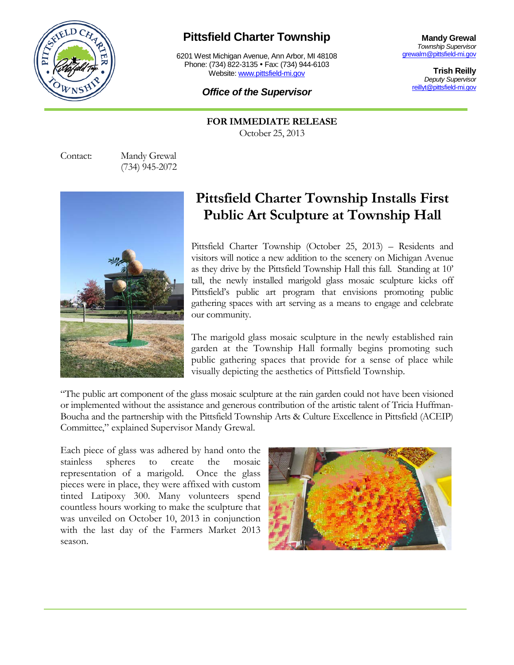

## **Pittsfield Charter Township**

6201 West Michigan Avenue, Ann Arbor, MI 48108 Phone: (734) 822-3135 • Fax: (734) 944-6103 Website: [www.pittsfield-mi.gov](http://www.pittsfield-mi.gov/)

## *Office of the Supervisor*

**Mandy Grewal** *Township Supervisor* [grewalm@pittsfield-mi.gov](mailto:grewalm@pittsfield-mi.gov)

> **Trish Reilly** *Deputy Supervisor* [reillyt@pittsfield-mi.gov](mailto:reillyt@pittsfield-mi.gov)

**FOR IMMEDIATE RELEASE** October 25, 2013

Contact: Mandy Grewal (734) 945-2072



## **Pittsfield Charter Township Installs First Public Art Sculpture at Township Hall**

Pittsfield Charter Township (October 25, 2013) – Residents and visitors will notice a new addition to the scenery on Michigan Avenue as they drive by the Pittsfield Township Hall this fall. Standing at 10' tall, the newly installed marigold glass mosaic sculpture kicks off Pittsfield's public art program that envisions promoting public gathering spaces with art serving as a means to engage and celebrate our community.

The marigold glass mosaic sculpture in the newly established rain garden at the Township Hall formally begins promoting such public gathering spaces that provide for a sense of place while visually depicting the aesthetics of Pittsfield Township.

"The public art component of the glass mosaic sculpture at the rain garden could not have been visioned or implemented without the assistance and generous contribution of the artistic talent of Tricia Huffman-Boucha and the partnership with the Pittsfield Township Arts & Culture Excellence in Pittsfield (ACEIP) Committee," explained Supervisor Mandy Grewal.

Each piece of glass was adhered by hand onto the stainless spheres to create the mosaic representation of a marigold. Once the glass pieces were in place, they were affixed with custom tinted Latipoxy 300. Many volunteers spend countless hours working to make the sculpture that was unveiled on October 10, 2013 in conjunction with the last day of the Farmers Market 2013 season.